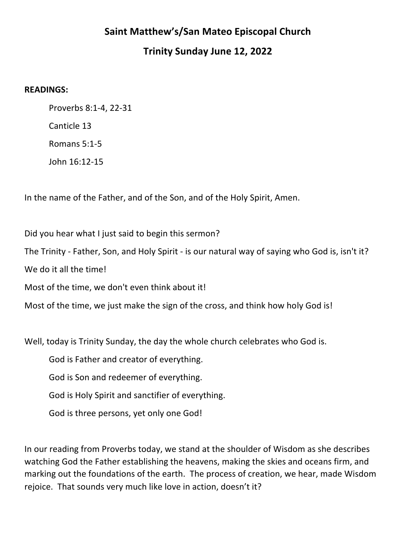## **Saint Matthew's/San Mateo Episcopal Church**

## **Trinity Sunday June 12, 2022**

## **READINGS:**

Proverbs 8:1-4, 22-31 Canticle 13 Romans 5:1-5 John 16:12-15

In the name of the Father, and of the Son, and of the Holy Spirit, Amen.

Did you hear what I just said to begin this sermon?

The Trinity - Father, Son, and Holy Spirit - is our natural way of saying who God is, isn't it?

We do it all the time!

Most of the time, we don't even think about it!

Most of the time, we just make the sign of the cross, and think how holy God is!

Well, today is Trinity Sunday, the day the whole church celebrates who God is.

God is Father and creator of everything.

God is Son and redeemer of everything.

God is Holy Spirit and sanctifier of everything.

God is three persons, yet only one God!

In our reading from Proverbs today, we stand at the shoulder of Wisdom as she describes watching God the Father establishing the heavens, making the skies and oceans firm, and marking out the foundations of the earth. The process of creation, we hear, made Wisdom rejoice. That sounds very much like love in action, doesn't it?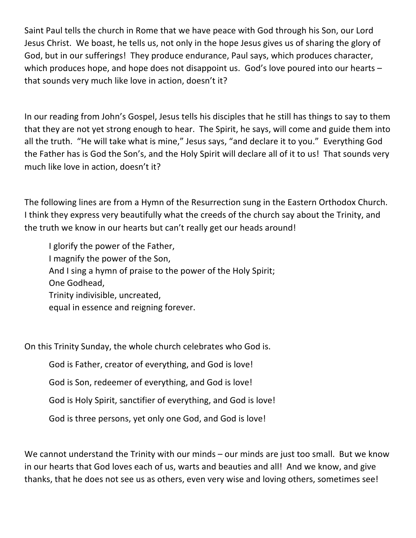Saint Paul tells the church in Rome that we have peace with God through his Son, our Lord Jesus Christ. We boast, he tells us, not only in the hope Jesus gives us of sharing the glory of God, but in our sufferings! They produce endurance, Paul says, which produces character, which produces hope, and hope does not disappoint us. God's love poured into our hearts  $$ that sounds very much like love in action, doesn't it?

In our reading from John's Gospel, Jesus tells his disciples that he still has things to say to them that they are not yet strong enough to hear. The Spirit, he says, will come and guide them into all the truth. "He will take what is mine," Jesus says, "and declare it to you." Everything God the Father has is God the Son's, and the Holy Spirit will declare all of it to us! That sounds very much like love in action, doesn't it?

The following lines are from a Hymn of the Resurrection sung in the Eastern Orthodox Church. I think they express very beautifully what the creeds of the church say about the Trinity, and the truth we know in our hearts but can't really get our heads around!

I glorify the power of the Father, I magnify the power of the Son, And I sing a hymn of praise to the power of the Holy Spirit; One Godhead, Trinity indivisible, uncreated, equal in essence and reigning forever.

On this Trinity Sunday, the whole church celebrates who God is.

God is Father, creator of everything, and God is love!

God is Son, redeemer of everything, and God is love!

God is Holy Spirit, sanctifier of everything, and God is love!

God is three persons, yet only one God, and God is love!

We cannot understand the Trinity with our minds – our minds are just too small. But we know in our hearts that God loves each of us, warts and beauties and all! And we know, and give thanks, that he does not see us as others, even very wise and loving others, sometimes see!